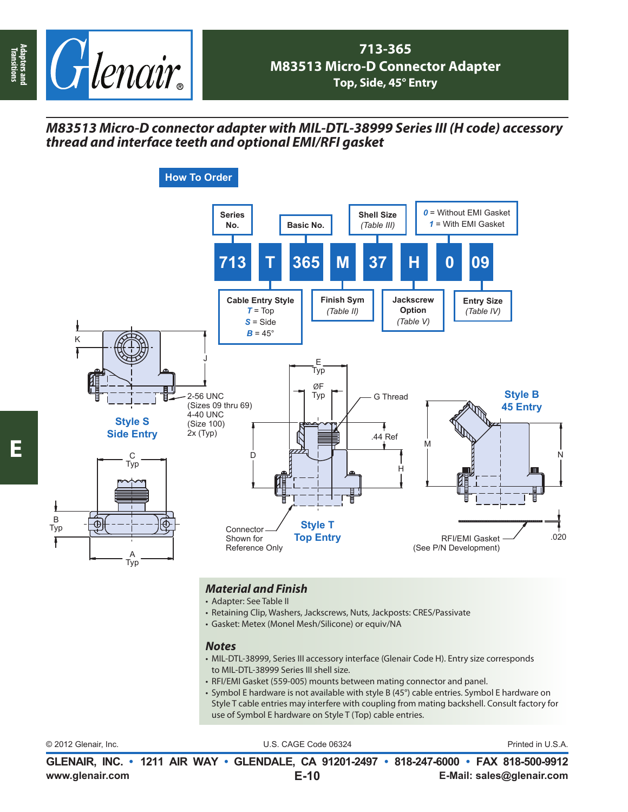

## *M83513 Micro-D connector adapter with MIL-DTL-38999 Series III (H code) accessory thread and interface teeth and optional EMI/RFI gasket*



## *Material and Finish*

- Adapter: See Table II
- Retaining Clip, Washers, Jackscrews, Nuts, Jackposts: CRES/Passivate
- Gasket: Metex (Monel Mesh/Silicone) or equiv/NA

## *Notes*

- MIL-DTL-38999, Series III accessory interface (Glenair Code H). Entry size corresponds to MIL-DTL-38999 Series III shell size.
- RFI/EMI Gasket (559-005) mounts between mating connector and panel.
- Symbol E hardware is not available with style B (45°) cable entries. Symbol E hardware on Style T cable entries may interfere with coupling from mating backshell. Consult factory for use of Symbol E hardware on Style T (Top) cable entries.

| © 2012 Glenair. Inc. | U.S. CAGE Code 06324                                                                     | Printed in U.S.A.         |
|----------------------|------------------------------------------------------------------------------------------|---------------------------|
|                      | GLENAIR, INC. • 1211 AIR WAY • GLENDALE, CA 91201-2497 • 818-247-6000 • FAX 818-500-9912 |                           |
| www.glenair.com      | $E-10$                                                                                   | E-Mail: sales@glenair.com |

Ŧ

**Transitions**